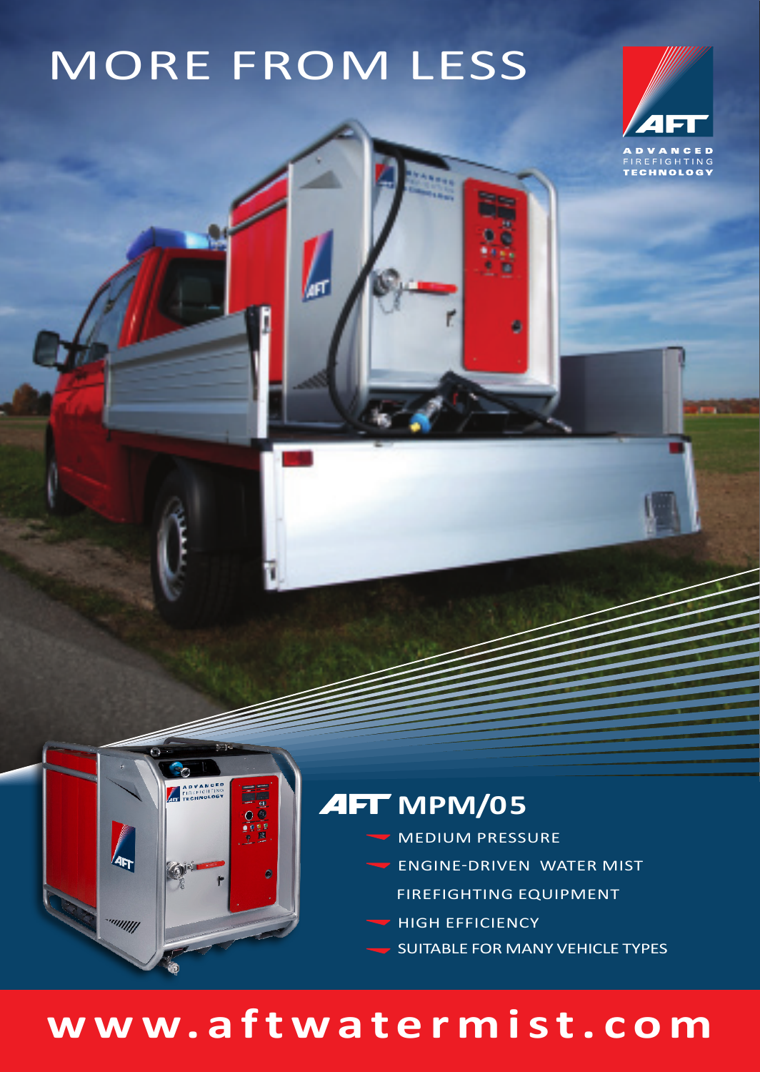# MORE FROM LESS



#### **AFT** MPM/05

- MEDIUM PRESSURE
- ENGINE-DRIVEN WATER MIST
	- FIREFIGHTING EQUIPMENT
- HIGH EFFICIENCY
- SUITABLE FOR MANY VEHICLE TYPES

### **www.aftwatermist.com**

ADVANCE

umm.